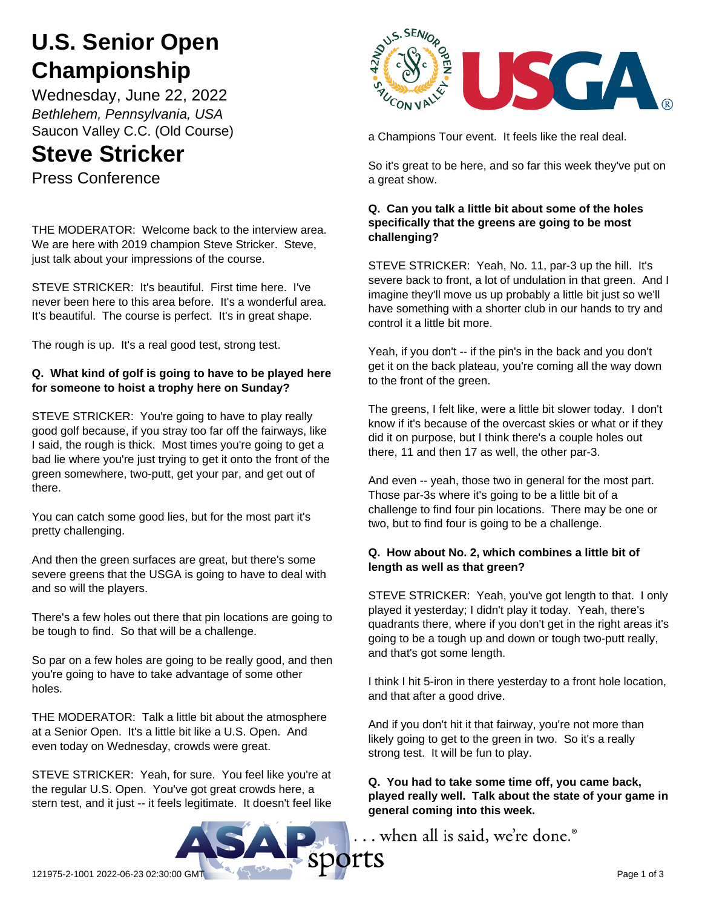# **U.S. Senior Open Championship**

Wednesday, June 22, 2022 *Bethlehem, Pennsylvania, USA* Saucon Valley C.C. (Old Course)

# **Steve Stricker**

Press Conference

THE MODERATOR: Welcome back to the interview area. We are here with 2019 champion Steve Stricker. Steve, just talk about your impressions of the course.

STEVE STRICKER: It's beautiful. First time here. I've never been here to this area before. It's a wonderful area. It's beautiful. The course is perfect. It's in great shape.

The rough is up. It's a real good test, strong test.

# **Q. What kind of golf is going to have to be played here for someone to hoist a trophy here on Sunday?**

STEVE STRICKER: You're going to have to play really good golf because, if you stray too far off the fairways, like I said, the rough is thick. Most times you're going to get a bad lie where you're just trying to get it onto the front of the green somewhere, two-putt, get your par, and get out of there.

You can catch some good lies, but for the most part it's pretty challenging.

And then the green surfaces are great, but there's some severe greens that the USGA is going to have to deal with and so will the players.

There's a few holes out there that pin locations are going to be tough to find. So that will be a challenge.

So par on a few holes are going to be really good, and then you're going to have to take advantage of some other holes.

THE MODERATOR: Talk a little bit about the atmosphere at a Senior Open. It's a little bit like a U.S. Open. And even today on Wednesday, crowds were great.

STEVE STRICKER: Yeah, for sure. You feel like you're at the regular U.S. Open. You've got great crowds here, a stern test, and it just -- it feels legitimate. It doesn't feel like



a Champions Tour event. It feels like the real deal.

So it's great to be here, and so far this week they've put on a great show.

#### **Q. Can you talk a little bit about some of the holes specifically that the greens are going to be most challenging?**

STEVE STRICKER: Yeah, No. 11, par-3 up the hill. It's severe back to front, a lot of undulation in that green. And I imagine they'll move us up probably a little bit just so we'll have something with a shorter club in our hands to try and control it a little bit more.

Yeah, if you don't -- if the pin's in the back and you don't get it on the back plateau, you're coming all the way down to the front of the green.

The greens, I felt like, were a little bit slower today. I don't know if it's because of the overcast skies or what or if they did it on purpose, but I think there's a couple holes out there, 11 and then 17 as well, the other par-3.

And even -- yeah, those two in general for the most part. Those par-3s where it's going to be a little bit of a challenge to find four pin locations. There may be one or two, but to find four is going to be a challenge.

#### **Q. How about No. 2, which combines a little bit of length as well as that green?**

STEVE STRICKER: Yeah, you've got length to that. I only played it yesterday; I didn't play it today. Yeah, there's quadrants there, where if you don't get in the right areas it's going to be a tough up and down or tough two-putt really, and that's got some length.

I think I hit 5-iron in there yesterday to a front hole location, and that after a good drive.

And if you don't hit it that fairway, you're not more than likely going to get to the green in two. So it's a really strong test. It will be fun to play.

**Q. You had to take some time off, you came back, played really well. Talk about the state of your game in general coming into this week.**

... when all is said, we're done.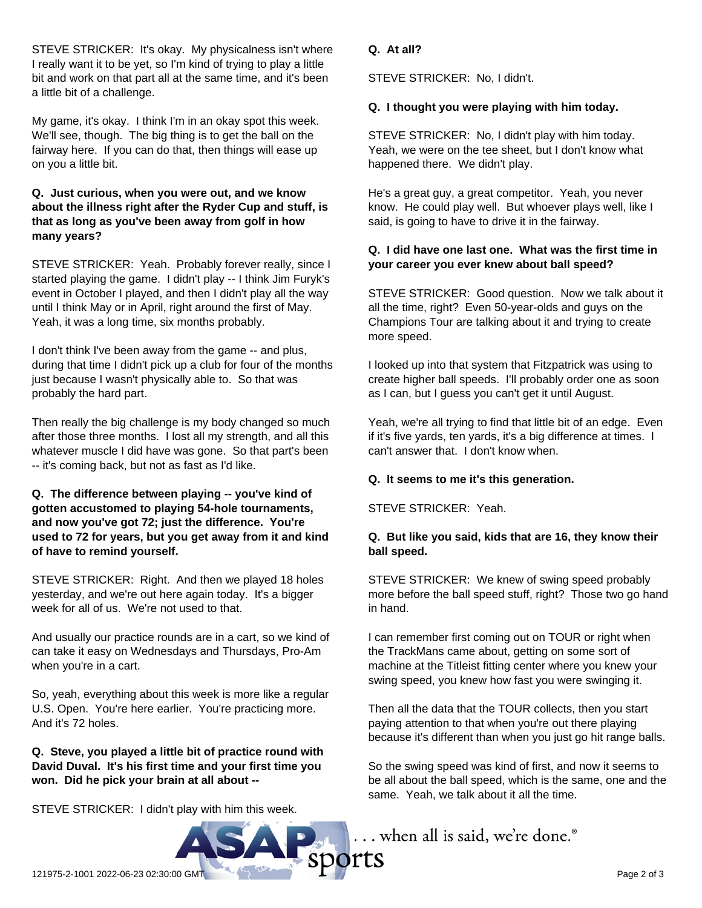STEVE STRICKER: It's okay. My physicalness isn't where I really want it to be yet, so I'm kind of trying to play a little bit and work on that part all at the same time, and it's been a little bit of a challenge.

My game, it's okay. I think I'm in an okay spot this week. We'll see, though. The big thing is to get the ball on the fairway here. If you can do that, then things will ease up on you a little bit.

#### **Q. Just curious, when you were out, and we know about the illness right after the Ryder Cup and stuff, is that as long as you've been away from golf in how many years?**

STEVE STRICKER: Yeah. Probably forever really, since I started playing the game. I didn't play -- I think Jim Furyk's event in October I played, and then I didn't play all the way until I think May or in April, right around the first of May. Yeah, it was a long time, six months probably.

I don't think I've been away from the game -- and plus, during that time I didn't pick up a club for four of the months just because I wasn't physically able to. So that was probably the hard part.

Then really the big challenge is my body changed so much after those three months. I lost all my strength, and all this whatever muscle I did have was gone. So that part's been -- it's coming back, but not as fast as I'd like.

#### **Q. The difference between playing -- you've kind of gotten accustomed to playing 54-hole tournaments, and now you've got 72; just the difference. You're used to 72 for years, but you get away from it and kind of have to remind yourself.**

STEVE STRICKER: Right. And then we played 18 holes yesterday, and we're out here again today. It's a bigger week for all of us. We're not used to that.

And usually our practice rounds are in a cart, so we kind of can take it easy on Wednesdays and Thursdays, Pro-Am when you're in a cart.

So, yeah, everything about this week is more like a regular U.S. Open. You're here earlier. You're practicing more. And it's 72 holes.

**Q. Steve, you played a little bit of practice round with David Duval. It's his first time and your first time you won. Did he pick your brain at all about --**

STEVE STRICKER: I didn't play with him this week.

## **Q. At all?**

STEVE STRICKER: No, I didn't.

## **Q. I thought you were playing with him today.**

STEVE STRICKER: No, I didn't play with him today. Yeah, we were on the tee sheet, but I don't know what happened there. We didn't play.

He's a great guy, a great competitor. Yeah, you never know. He could play well. But whoever plays well, like I said, is going to have to drive it in the fairway.

#### **Q. I did have one last one. What was the first time in your career you ever knew about ball speed?**

STEVE STRICKER: Good question. Now we talk about it all the time, right? Even 50-year-olds and guys on the Champions Tour are talking about it and trying to create more speed.

I looked up into that system that Fitzpatrick was using to create higher ball speeds. I'll probably order one as soon as I can, but I guess you can't get it until August.

Yeah, we're all trying to find that little bit of an edge. Even if it's five yards, ten yards, it's a big difference at times. I can't answer that. I don't know when.

# **Q. It seems to me it's this generation.**

STEVE STRICKER: Yeah.

#### **Q. But like you said, kids that are 16, they know their ball speed.**

STEVE STRICKER: We knew of swing speed probably more before the ball speed stuff, right? Those two go hand in hand.

I can remember first coming out on TOUR or right when the TrackMans came about, getting on some sort of machine at the Titleist fitting center where you knew your swing speed, you knew how fast you were swinging it.

Then all the data that the TOUR collects, then you start paying attention to that when you're out there playing because it's different than when you just go hit range balls.

So the swing speed was kind of first, and now it seems to be all about the ball speed, which is the same, one and the same. Yeah, we talk about it all the time.

... when all is said, we're done.®